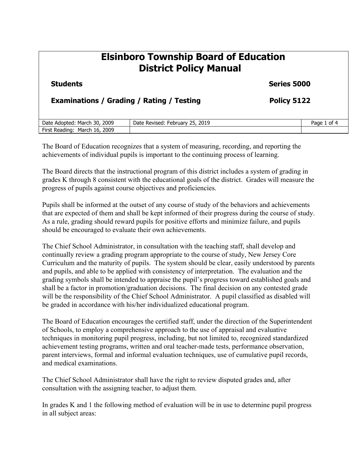## **Elsinboro Township Board of Education District Policy Manual Students** Series 5000 **Examinations / Grading / Rating / Testing <b>Policy 5122** Date Adopted: March 30, 2009 | Date Revised: February 25, 2019 | Page 1 of 4 First Reading: March 16, 2009

The Board of Education recognizes that a system of measuring, recording, and reporting the achievements of individual pupils is important to the continuing process of learning.

The Board directs that the instructional program of this district includes a system of grading in grades K through 8 consistent with the educational goals of the district. Grades will measure the progress of pupils against course objectives and proficiencies.

Pupils shall be informed at the outset of any course of study of the behaviors and achievements that are expected of them and shall be kept informed of their progress during the course of study. As a rule, grading should reward pupils for positive efforts and minimize failure, and pupils should be encouraged to evaluate their own achievements.

The Chief School Administrator, in consultation with the teaching staff, shall develop and continually review a grading program appropriate to the course of study, New Jersey Core Curriculum and the maturity of pupils. The system should be clear, easily understood by parents and pupils, and able to be applied with consistency of interpretation. The evaluation and the grading symbols shall be intended to appraise the pupil's progress toward established goals and shall be a factor in promotion/graduation decisions. The final decision on any contested grade will be the responsibility of the Chief School Administrator. A pupil classified as disabled will be graded in accordance with his/her individualized educational program.

The Board of Education encourages the certified staff, under the direction of the Superintendent of Schools, to employ a comprehensive approach to the use of appraisal and evaluative techniques in monitoring pupil progress, including, but not limited to, recognized standardized achievement testing programs, written and oral teacher-made tests, performance observation, parent interviews, formal and informal evaluation techniques, use of cumulative pupil records, and medical examinations.

The Chief School Administrator shall have the right to review disputed grades and, after consultation with the assigning teacher, to adjust them.

In grades K and 1 the following method of evaluation will be in use to determine pupil progress in all subject areas: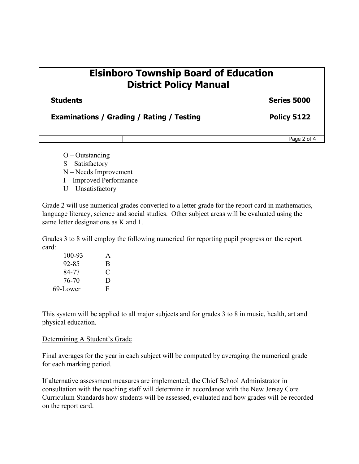### **Elsinboro Township Board of Education District Policy Manual**

#### **Series 5000**

**Examinations / Grading / Rating / Testing Policy 5122**

Page 2 of 4

- $O -$ Outstanding
- S Satisfactory
- N Needs Improvement
- I Improved Performance
- U Unsatisfactory

Grade 2 will use numerical grades converted to a letter grade for the report card in mathematics, language literacy, science and social studies. Other subject areas will be evaluated using the same letter designations as K and 1.

Grades 3 to 8 will employ the following numerical for reporting pupil progress on the report card:

| 100-93   | A |
|----------|---|
| 92-85    | B |
| 84-77    | C |
| 76-70    | D |
| 69-Lower | F |

This system will be applied to all major subjects and for grades 3 to 8 in music, health, art and physical education.

#### Determining A Student's Grade

Final averages for the year in each subject will be computed by averaging the numerical grade for each marking period.

If alternative assessment measures are implemented, the Chief School Administrator in consultation with the teaching staff will determine in accordance with the New Jersey Core Curriculum Standards how students will be assessed, evaluated and how grades will be recorded on the report card.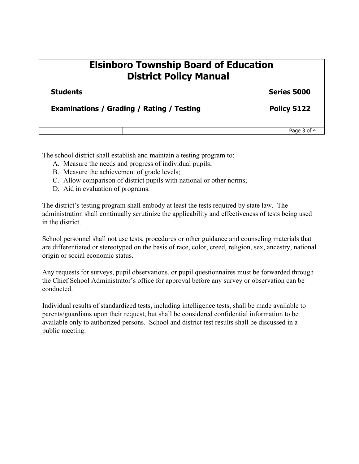## **Elsinboro Township Board of Education District Policy Manual**

**Students** Series 5000

#### **Examinations / Grading / Rating / Testing <b>Policy 5122**

Page 3 of 4

The school district shall establish and maintain a testing program to:

- A. Measure the needs and progress of individual pupils;
- B. Measure the achievement of grade levels;
- C. Allow comparison of district pupils with national or other norms;
- D. Aid in evaluation of programs.

The district's testing program shall embody at least the tests required by state law. The administration shall continually scrutinize the applicability and effectiveness of tests being used in the district.

School personnel shall not use tests, procedures or other guidance and counseling materials that are differentiated or stereotyped on the basis of race, color, creed, religion, sex, ancestry, national origin or social economic status.

Any requests for surveys, pupil observations, or pupil questionnaires must be forwarded through the Chief School Administrator's office for approval before any survey or observation can be conducted.

Individual results of standardized tests, including intelligence tests, shall be made available to parents/guardians upon their request, but shall be considered confidential information to be available only to authorized persons. School and district test results shall be discussed in a public meeting.